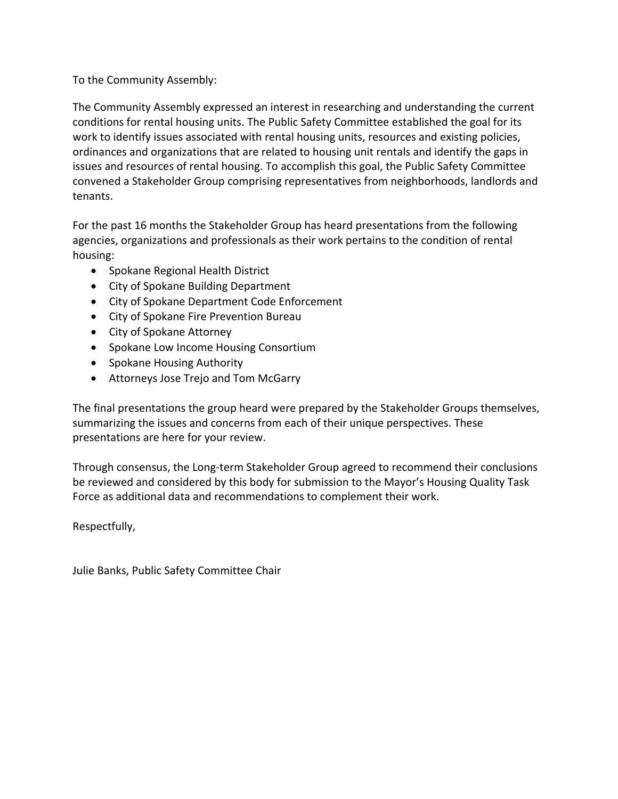# To the Community Assembly:

The Community Assembly expressed an interest in researching and understanding the current conditions for rental housing units. The Public Safety Committee established the goal for its work to identify issues associated with rental housing units, resources and existing policies, ordinances and organizations that are related to housing unit rentals and identify the gaps in issues and resources of rental housing. To accomplish this goal, the Public Safety Committee convened a Stakeholder Group comprising representatives from neighborhoods, landlords and tenants.

For the past 16 months the Stakeholder Group has heard presentations from the following agencies, organizations and professionals as their work pertains to the condition of rental housing:

- Spokane Regional Health District
- City of Spokane Building Department
- City of Spokane Department Code Enforcement
- City of Spokane Fire Prevention Bureau
- City of Spokane Attorney
- Spokane Low Income Housing Consortium
- Spokane Housing Authority
- Attorneys Jose Trejo and Tom McGarry

The final presentations the group heard were prepared by the Stakeholder Groups themselves, summarizing the issues and concerns from each of their unique perspectives. These presentations are here for your review.

Through consensus, the Long‐term Stakeholder Group agreed to recommend their conclusions be reviewed and considered by this body for submission to the Mayor's Housing Quality Task Force as additional data and recommendations to complement their work.

Respectfully,

Julie Banks, Public Safety Committee Chair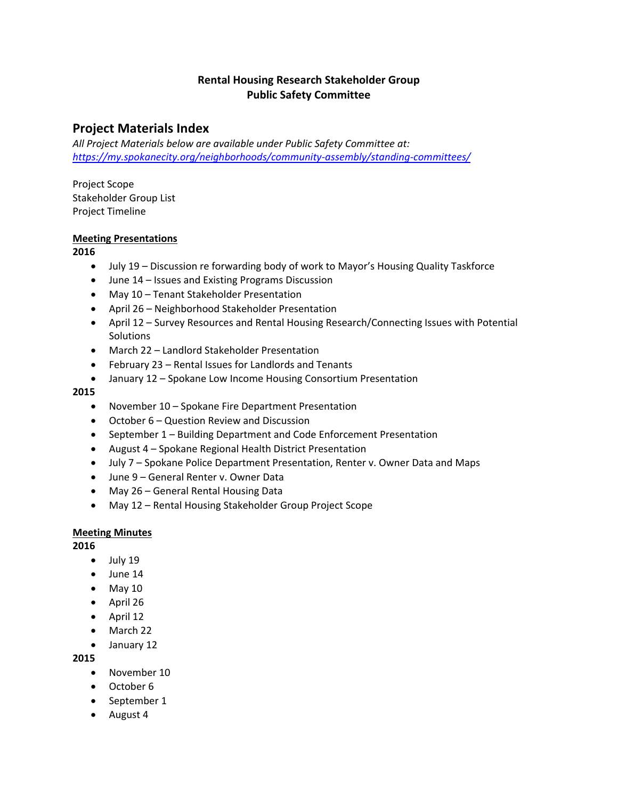# **Rental Housing Research Stakeholder Group Public Safety Committee**

# **Project Materials Index**

*All Project Materials below are available under Public Safety Committee at: https://my.spokanecity.org/neighborhoods/community‐assembly/standing‐committees/*

Project Scope Stakeholder Group List Project Timeline

## **Meeting Presentations**

## **2016**

- July 19 Discussion re forwarding body of work to Mayor's Housing Quality Taskforce
- June 14 Issues and Existing Programs Discussion
- May 10 Tenant Stakeholder Presentation
- April 26 Neighborhood Stakeholder Presentation
- April 12 Survey Resources and Rental Housing Research/Connecting Issues with Potential **Solutions**
- March 22 Landlord Stakeholder Presentation
- February 23 Rental Issues for Landlords and Tenants
- January 12 Spokane Low Income Housing Consortium Presentation

#### **2015**

- November 10 Spokane Fire Department Presentation
- October 6 Question Review and Discussion
- September 1 Building Department and Code Enforcement Presentation
- August 4 Spokane Regional Health District Presentation
- July 7 Spokane Police Department Presentation, Renter v. Owner Data and Maps
- June 9 General Renter v. Owner Data
- May 26 General Rental Housing Data
- May 12 Rental Housing Stakeholder Group Project Scope

## **Meeting Minutes**

**2016**

- July 19
- June 14
- $\bullet$  May 10
- April 26
- $\bullet$  April 12
- March 22
- January 12

**2015**

- November 10
- October 6
- September 1
- August 4